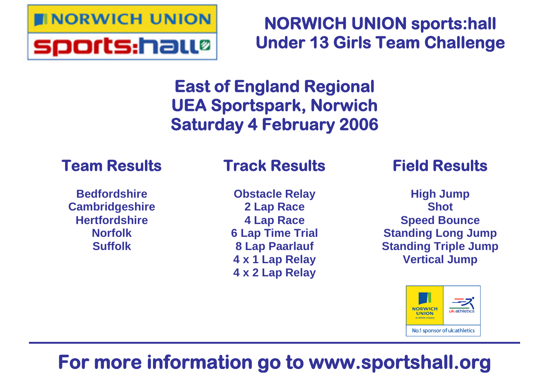

**NORWICH UNION sports:hall Under 13 Girls Team Challenge**

# **East of England Regional UEA Sportspark, Norwich Saturday 4 February 2006**

## **Team Results**

**Bedfordshire Cambridgeshire Hertfordshire Norfolk Suffolk**

## **Track Results**

**Obstacle Relay 2 Lap Race 4 Lap Race 6 Lap Time Trial 8 Lap Paarlauf 4 x 1 Lap Relay 4 x 2 Lap Relay**

## **Field Results**

**High Jump Shot Speed Bounce Standing Long Jump Standing Triple Jump Vertical Jump**



# **For more information go to www.sportshall.org**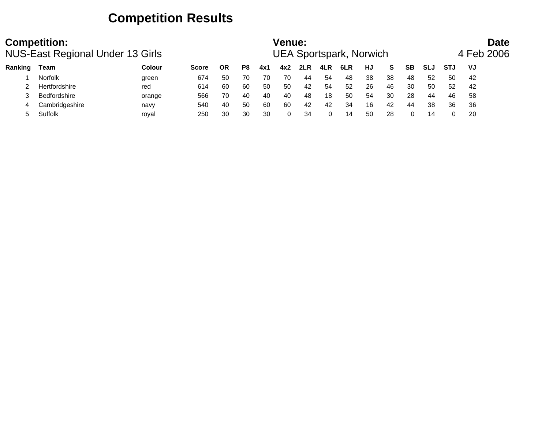### **Competition Results**

|         | <b>Competition:</b><br><b>NUS-East Regional Under 13 Girls</b> |               |              |           |     |     | <b>Venue:</b> |     |     | <b>UEA Sportspark, Norwich</b> |    |    |           |            |            | <b>Date</b><br>4 Feb 2006 |  |
|---------|----------------------------------------------------------------|---------------|--------------|-----------|-----|-----|---------------|-----|-----|--------------------------------|----|----|-----------|------------|------------|---------------------------|--|
| Ranking | Team                                                           | <b>Colour</b> | <b>Score</b> | <b>OR</b> | P8  | 4x1 | 4x2           | 2LR | 4LR | 6LR                            | HJ | S. | <b>SB</b> | <b>SLJ</b> | <b>STJ</b> | VJ                        |  |
|         | <b>Norfolk</b>                                                 | green         | 674          | -50       | 70  | 70  | 70            | 44  | 54  | 48                             | 38 | 38 | 48        | 52         | 50         | 42                        |  |
|         | Hertfordshire                                                  | red           | 614          | -60       | 60  | 50  | 50            | 42  | 54  | 52                             | 26 | 46 | 30        | 50         | 52         | 42                        |  |
|         | <b>Bedfordshire</b>                                            | orange        | 566          | 70        | 40  | 40  | 40            | -48 | 18  | 50                             | 54 | 30 | 28        | 44         | 46         | 58                        |  |
| 4       | Cambridgeshire                                                 | navy          | 540          | 40        | -50 | 60  | 60            | 42  | 42  | 34                             | 16 | 42 | 44        | 38         | 36         | 36                        |  |
|         | Suffolk                                                        | roval         | 250          | 30        | 30  | 30  | 0             | 34  |     | 14                             | 50 | 28 |           | 14         |            | 20                        |  |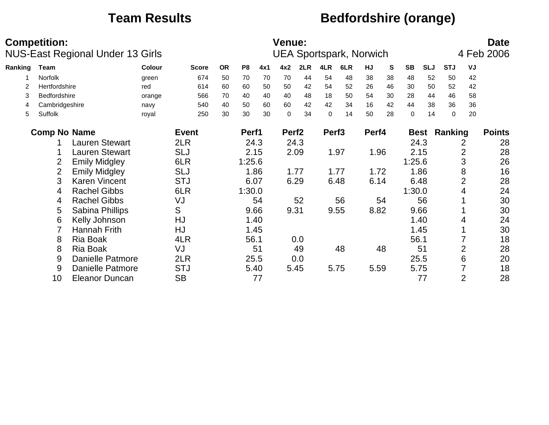### **Team Results Bedfordshire (orange)**

|         | <b>Competition:</b> | NUS-East Regional Under 13 Girls |        |              |           |        |      | Venue:            |      |                   | <b>UEA Sportspark, Norwich</b> |       |    |             |            |            |                | <b>Date</b><br>4 Feb 2006 |
|---------|---------------------|----------------------------------|--------|--------------|-----------|--------|------|-------------------|------|-------------------|--------------------------------|-------|----|-------------|------------|------------|----------------|---------------------------|
| Ranking | Team                |                                  | Colour | <b>Score</b> | <b>OR</b> | P8     | 4x1  | 4x2               | 2LR  | 4LR               | 6LR                            | HJ    | S  | <b>SB</b>   | <b>SLJ</b> | <b>STJ</b> | VJ             |                           |
|         | Norfolk             |                                  | green  | 674          | 50        | 70     | 70   | 70                | 44   | 54                | 48                             | 38    | 38 | 48          | 52         | 50         | 42             |                           |
| 2       | Hertfordshire       |                                  | red    | 614          | 60        | 60     | 50   | 50                | 42   | 54                | 52                             | 26    | 46 | 30          | 50         | 52         | 42             |                           |
| 3       | Bedfordshire        |                                  | orange | 566          | 70        | 40     | 40   | 40                | 48   | 18                | 50                             | 54    | 30 | 28          | 44         | 46         | 58             |                           |
| 4       | Cambridgeshire      |                                  | navy   | 540          | 40        | 50     | 60   | 60                | 42   | 42                | 34                             | 16    | 42 | 44          | 38         | 36         | 36             |                           |
| 5       | Suffolk             |                                  | royal  | 250          | 30        | 30     | 30   | $\mathbf 0$       | 34   | $\mathbf 0$       | 14                             | 50    | 28 | $\mathbf 0$ | 14         | 0          | 20             |                           |
|         | <b>Comp No Name</b> |                                  |        | <b>Event</b> |           | Perf1  |      | Perf <sub>2</sub> |      | Perf <sub>3</sub> |                                | Perf4 |    | <b>Best</b> |            | Ranking    |                | <b>Points</b>             |
|         |                     | <b>Lauren Stewart</b>            |        | 2LR          |           |        | 24.3 |                   | 24.3 |                   |                                |       |    | 24.3        |            |            | 2              | 28                        |
|         |                     | <b>Lauren Stewart</b>            |        | <b>SLJ</b>   |           | 2.15   |      |                   | 2.09 |                   | 1.97                           | 1.96  |    | 2.15        |            |            | 2              | 28                        |
|         | $\overline{2}$      | <b>Emily Midgley</b>             |        | 6LR          |           | 1:25.6 |      |                   |      |                   |                                |       |    | 1:25.6      |            |            | 3              | 26                        |
|         | $\overline{2}$      | <b>Emily Midgley</b>             |        | <b>SLJ</b>   |           |        | 1.86 | 1.77              |      |                   | 1.77                           | 1.72  |    | 1.86        |            |            | 8              | 16                        |
|         | 3                   | <b>Karen Vincent</b>             |        | <b>STJ</b>   |           | 6.07   |      |                   | 6.29 |                   | 6.48                           | 6.14  |    | 6.48        |            |            | $\overline{2}$ | 28                        |
|         | 4                   | <b>Rachel Gibbs</b>              |        | 6LR          |           | 1:30.0 |      |                   |      |                   |                                |       |    | 1:30.0      |            |            | 4              | 24                        |
|         | 4                   | <b>Rachel Gibbs</b>              |        | VJ           |           |        | 54   |                   | 52   |                   | 56                             |       | 54 |             | 56         |            |                | 30                        |
|         | 5                   | Sabina Phillips                  |        | S            |           |        | 9.66 | 9.31              |      |                   | 9.55                           | 8.82  |    | 9.66        |            |            |                | 30                        |
|         | 6                   | Kelly Johnson                    |        | HJ           |           |        | 1.40 |                   |      |                   |                                |       |    |             | 1.40       |            | 4              | 24                        |
|         |                     | Hannah Frith                     |        | <b>HJ</b>    |           |        | 1.45 |                   |      |                   |                                |       |    |             | 1.45       |            |                | 30                        |
|         | 8                   | <b>Ria Boak</b>                  |        | 4LR          |           | 56.1   |      |                   | 0.0  |                   |                                |       |    | 56.1        |            |            |                | 18                        |
|         | 8                   | <b>Ria Boak</b>                  |        | VJ           |           |        | 51   |                   | 49   |                   | 48                             |       | 48 |             | 51         |            | 2              | 28                        |
|         | 9                   | <b>Danielle Patmore</b>          |        | 2LR          |           | 25.5   |      |                   | 0.0  |                   |                                |       |    | 25.5        |            |            | 6              | 20                        |
|         | 9                   | <b>Danielle Patmore</b>          |        | <b>STJ</b>   |           |        | 5.40 |                   | 5.45 |                   | 5.75                           | 5.59  |    | 5.75        |            |            |                | 18                        |
|         | 10                  | <b>Eleanor Duncan</b>            |        | <b>SB</b>    |           |        | 77   |                   |      |                   |                                |       |    |             | 77         |            | $\overline{2}$ | 28                        |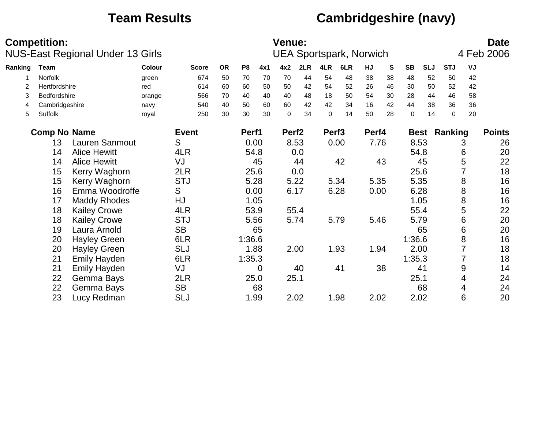## **Team Results Cambridgeshire (navy)**

|         | <b>Competition:</b> | NUS-East Regional Under 13 Girls |        |              |           |                |      | <b>Venue:</b>     |      |                   | <b>UEA Sportspark, Norwich</b> |       |           |             |            |             |    | <b>Date</b><br>4 Feb 2006 |
|---------|---------------------|----------------------------------|--------|--------------|-----------|----------------|------|-------------------|------|-------------------|--------------------------------|-------|-----------|-------------|------------|-------------|----|---------------------------|
| Ranking | <b>Team</b>         |                                  | Colour | <b>Score</b> | <b>OR</b> | P <sub>8</sub> | 4x1  | 4x2               | 2LR  | 4LR               | 6LR                            | HJ    | ${\bf S}$ | <b>SB</b>   | <b>SLJ</b> | <b>STJ</b>  | VJ |                           |
|         | Norfolk             |                                  | green  | 674          | 50        | 70             | 70   | 70                | 44   | 54                | 48                             | 38    | 38        | 48          | 52         | 50          | 42 |                           |
| 2       | Hertfordshire       |                                  | red    | 614          | 60        | 60             | 50   | 50                | 42   | 54                | 52                             | 26    | 46        | 30          | 50         | 52          | 42 |                           |
| 3       | Bedfordshire        |                                  | orange | 566          | 70        | 40             | 40   | 40                | 48   | 18                | 50                             | 54    | 30        | 28          | 44         | 46          | 58 |                           |
| 4       | Cambridgeshire      |                                  | navy   | 540          | 40        | 50             | 60   | 60                | 42   | 42                | 34                             | 16    | 42        | 44          | 38         | 36          | 36 |                           |
| 5       | Suffolk             |                                  | royal  | 250          | 30        | 30             | 30   | $\mathbf 0$       | 34   | $\mathbf 0$       | 14                             | 50    | 28        | $\mathbf 0$ | 14         | $\mathbf 0$ | 20 |                           |
|         | <b>Comp No Name</b> |                                  |        | <b>Event</b> |           | Perf1          |      | Perf <sub>2</sub> |      | Perf <sub>3</sub> |                                | Perf4 |           | <b>Best</b> |            | Ranking     |    | <b>Points</b>             |
|         | 13                  | Lauren Sanmout                   |        | S            |           |                | 0.00 |                   | 8.53 |                   | 0.00                           | 7.76  |           | 8.53        |            |             | 3  | 26                        |
|         | 14                  | <b>Alice Hewitt</b>              |        | 4LR          |           |                | 54.8 |                   | 0.0  |                   |                                |       |           | 54.8        |            |             | 6  | 20                        |
|         | 14                  | <b>Alice Hewitt</b>              |        | VJ           |           |                | 45   |                   | 44   |                   | 42                             |       | 43        |             | 45         |             | 5  | 22                        |
|         | 15                  | Kerry Waghorn                    |        | 2LR          |           |                | 25.6 |                   | 0.0  |                   |                                |       |           | 25.6        |            |             |    | 18                        |
|         | 15                  | Kerry Waghorn                    |        | <b>STJ</b>   |           |                | 5.28 |                   | 5.22 |                   | 5.34                           | 5.35  |           | 5.35        |            |             | 8  | 16                        |
|         | 16                  | Emma Woodroffe                   |        | S            |           | 0.00           |      |                   | 6.17 |                   | 6.28                           | 0.00  |           | 6.28        |            |             | 8  | 16                        |
|         | 17                  | <b>Maddy Rhodes</b>              |        | HJ           |           |                | 1.05 |                   |      |                   |                                |       |           | 1.05        |            |             | 8  | 16                        |
|         | 18                  | <b>Kailey Crowe</b>              |        | 4LR          |           |                | 53.9 |                   | 55.4 |                   |                                |       |           | 55.4        |            |             | 5  | 22                        |
|         | 18                  | <b>Kailey Crowe</b>              |        | <b>STJ</b>   |           |                | 5.56 |                   | 5.74 |                   | 5.79                           | 5.46  |           | 5.79        |            |             | 6  | 20                        |
|         | 19                  | Laura Arnold                     |        | <b>SB</b>    |           |                | 65   |                   |      |                   |                                |       |           |             | 65         |             | 6  | 20                        |
|         | 20                  | <b>Hayley Green</b>              |        | 6LR          |           | 1:36.6         |      |                   |      |                   |                                |       |           | 1:36.6      |            |             | 8  | 16                        |
|         | 20                  | <b>Hayley Green</b>              |        | <b>SLJ</b>   |           |                | 1.88 |                   | 2.00 |                   | 1.93                           | 1.94  |           | 2.00        |            |             |    | 18                        |
|         | 21                  | <b>Emily Hayden</b>              |        | 6LR          |           | 1:35.3         |      |                   |      |                   |                                |       |           | 1:35.3      |            |             |    | 18                        |
|         | 21                  | <b>Emily Hayden</b>              |        | VJ           |           |                | 0    |                   | 40   |                   | 41                             |       | 38        |             | 41         |             | 9  | 14                        |
|         | 22                  | Gemma Bays                       |        | 2LR          |           |                | 25.0 | 25.1              |      |                   |                                |       |           | 25.1        |            |             | 4  | 24                        |
|         | 22                  | Gemma Bays                       |        | <b>SB</b>    |           |                | 68   |                   |      |                   |                                |       |           |             | 68         |             | 4  | 24                        |
|         | 23                  | Lucy Redman                      |        | <b>SLJ</b>   |           |                | 1.99 |                   | 2.02 |                   | 1.98                           | 2.02  |           | 2.02        |            |             | 6  | 20                        |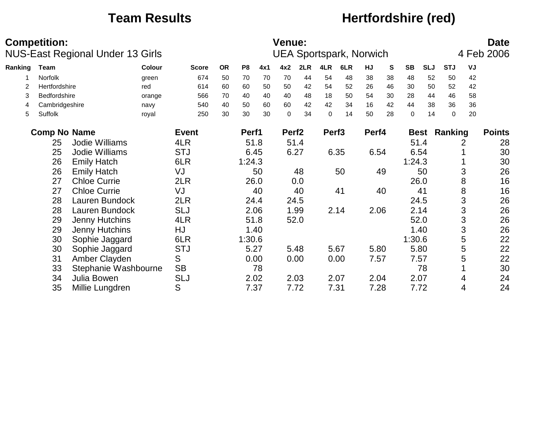### **Team Results Hertfordshire (red)**

|         | <b>Competition:</b> |                                  |        |              |           |                |      | Venue:            |      |                   |                                |       |           |             |            |             |    | <b>Date</b>   |
|---------|---------------------|----------------------------------|--------|--------------|-----------|----------------|------|-------------------|------|-------------------|--------------------------------|-------|-----------|-------------|------------|-------------|----|---------------|
|         |                     | NUS-East Regional Under 13 Girls |        |              |           |                |      |                   |      |                   | <b>UEA Sportspark, Norwich</b> |       |           |             |            |             |    | 4 Feb 2006    |
| Ranking | <b>Team</b>         |                                  | Colour | <b>Score</b> | <b>OR</b> | P <sub>8</sub> | 4x1  | 4x2               | 2LR  | 4LR               | 6LR                            | HJ    | ${\bf S}$ | <b>SB</b>   | <b>SLJ</b> | <b>STJ</b>  | VJ |               |
|         | Norfolk             |                                  | green  | 674          | 50        | 70             | 70   | 70                | 44   | 54                | 48                             | 38    | 38        | 48          | 52         | 50          | 42 |               |
| 2       | Hertfordshire       |                                  | red    | 614          | 60        | 60             | 50   | 50                | 42   | 54                | 52                             | 26    | 46        | 30          | 50         | 52          | 42 |               |
| 3       | Bedfordshire        |                                  | orange | 566          | 70        | 40             | 40   | 40                | 48   | 18                | 50                             | 54    | 30        | 28          | 44         | 46          | 58 |               |
| 4       | Cambridgeshire      |                                  | navy   | 540          | 40        | 50             | 60   | 60                | 42   | 42                | 34                             | 16    | 42        | 44          | 38         | 36          | 36 |               |
| 5       | Suffolk             |                                  | royal  | 250          | 30        | 30             | 30   | $\Omega$          | 34   | $\Omega$          | 14                             | 50    | 28        | $\mathbf 0$ | 14         | $\mathbf 0$ | 20 |               |
|         | <b>Comp No Name</b> |                                  |        | <b>Event</b> |           | Perf1          |      | Perf <sub>2</sub> |      | Perf <sub>3</sub> |                                | Perf4 |           |             | Best       | Ranking     |    | <b>Points</b> |
|         | 25                  | Jodie Williams                   |        | 4LR          |           |                | 51.8 |                   | 51.4 |                   |                                |       |           | 51.4        |            |             | 2  | 28            |
|         | 25                  | Jodie Williams                   |        | <b>STJ</b>   |           |                | 6.45 | 6.27              |      |                   | 6.35                           | 6.54  |           | 6.54        |            |             |    | 30            |
|         | 26                  | <b>Emily Hatch</b>               |        | 6LR          |           | 1:24.3         |      |                   |      |                   |                                |       |           | 1:24.3      |            |             |    | 30            |
|         | 26                  | <b>Emily Hatch</b>               |        | VJ           |           |                | 50   |                   | 48   |                   | 50                             |       | 49        |             | 50         |             | 3  | 26            |
|         | 27                  | <b>Chloe Currie</b>              |        | 2LR          |           |                | 26.0 |                   | 0.0  |                   |                                |       |           |             | 26.0       |             | 8  | 16            |
|         | 27                  | <b>Chloe Currie</b>              |        | VJ           |           |                | 40   |                   | 40   |                   | 41                             |       | 40        |             | 41         |             | 8  | 16            |
|         | 28                  | Lauren Bundock                   |        | 2LR          |           |                | 24.4 |                   | 24.5 |                   |                                |       |           | 24.5        |            |             | 3  | 26            |
|         | 28                  | Lauren Bundock                   |        | <b>SLJ</b>   |           |                | 2.06 |                   | 1.99 |                   | 2.14                           | 2.06  |           | 2.14        |            |             | 3  | 26            |
|         | 29                  | Jenny Hutchins                   |        | 4LR          |           |                | 51.8 |                   | 52.0 |                   |                                |       |           | 52.0        |            |             | 3  | 26            |
|         | 29                  | Jenny Hutchins                   |        | HJ           |           |                | 1.40 |                   |      |                   |                                |       |           |             | 1.40       |             | 3  | 26            |
|         | 30                  | Sophie Jaggard                   |        | 6LR          |           | 1:30.6         |      |                   |      |                   |                                |       |           | 1:30.6      |            |             | 5  | 22            |
|         | 30                  | Sophie Jaggard                   |        | <b>STJ</b>   |           |                | 5.27 |                   | 5.48 |                   | 5.67                           | 5.80  |           |             | 5.80       |             | 5  | 22            |
|         | 31                  | Amber Clayden                    |        | S            |           |                | 0.00 |                   | 0.00 |                   | 0.00                           | 7.57  |           | 7.57        |            |             | 5  | 22            |
|         | 33                  | Stephanie Washbourne             |        | <b>SB</b>    |           |                | 78   |                   |      |                   |                                |       |           |             | 78         |             |    | 30            |
|         | 34                  | Julia Bowen                      |        | <b>SLJ</b>   |           |                | 2.02 | 2.03              |      |                   | 2.07                           | 2.04  |           | 2.07        |            |             | 4  | 24            |
|         | 35                  | Millie Lungdren                  |        | S            |           |                | 7.37 |                   | 7.72 |                   | 7.31                           | 7.28  |           | 7.72        |            |             | 4  | 24            |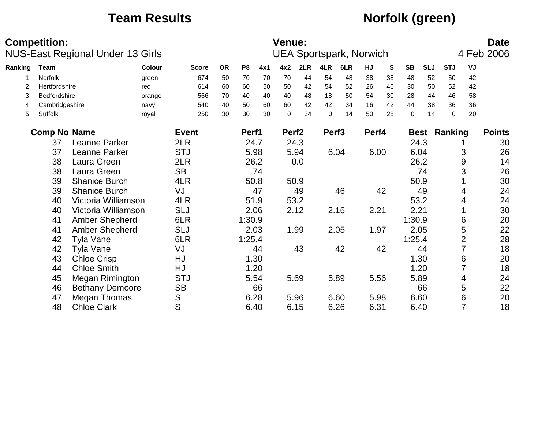## **Team Results Norfolk (green)**

|               | <b>Competition:</b> | NUS-East Regional Under 13 Girls |        |              |           |                |      | Venue:            |      |                   | <b>UEA Sportspark, Norwich</b> |       |           |             |            |             |                | <b>Date</b><br>4 Feb 2006 |
|---------------|---------------------|----------------------------------|--------|--------------|-----------|----------------|------|-------------------|------|-------------------|--------------------------------|-------|-----------|-------------|------------|-------------|----------------|---------------------------|
| Ranking       | <b>Team</b>         |                                  | Colour | <b>Score</b> | <b>OR</b> | P <sub>8</sub> | 4x1  | 4x2               | 2LR  | 4LR               | 6LR                            | HJ    | ${\bf S}$ | <b>SB</b>   | <b>SLJ</b> | <b>STJ</b>  | VJ             |                           |
|               | Norfolk             |                                  | green  | 674          | 50        | 70             | 70   | 70                | 44   | 54                | 48                             | 38    | 38        | 48          | 52         | 50          | 42             |                           |
| $\mathcal{P}$ | Hertfordshire       |                                  | red    | 614          | 60        | 60             | 50   | 50                | 42   | 54                | 52                             | 26    | 46        | 30          | 50         | 52          | 42             |                           |
| 3             | Bedfordshire        |                                  | orange | 566          | 70        | 40             | 40   | 40                | 48   | 18                | 50                             | 54    | 30        | 28          | 44         | 46          | 58             |                           |
| 4             | Cambridgeshire      |                                  | navy   | 540          | 40        | 50             | 60   | 60                | 42   | 42                | 34                             | 16    | 42        | 44          | 38         | 36          | 36             |                           |
| 5             | Suffolk             |                                  | royal  | 250          | 30        | 30             | 30   | $\mathbf 0$       | 34   | $\mathbf 0$       | 14                             | 50    | 28        | $\mathbf 0$ | 14         | $\mathbf 0$ | 20             |                           |
|               | <b>Comp No Name</b> |                                  |        | <b>Event</b> |           | Perf1          |      | Perf <sub>2</sub> |      | Perf <sub>3</sub> |                                | Perf4 |           | <b>Best</b> |            | Ranking     |                | <b>Points</b>             |
|               | 37                  | Leanne Parker                    |        | 2LR          |           |                | 24.7 |                   | 24.3 |                   |                                |       |           | 24.3        |            |             |                | 30                        |
|               | 37                  | Leanne Parker                    |        | <b>STJ</b>   |           |                | 5.98 |                   | 5.94 |                   | 6.04                           | 6.00  |           | 6.04        |            |             | 3              | 26                        |
|               | 38                  | Laura Green                      |        | 2LR          |           |                | 26.2 |                   | 0.0  |                   |                                |       |           | 26.2        |            |             | 9              | 14                        |
|               | 38                  | Laura Green                      |        | <b>SB</b>    |           |                | 74   |                   |      |                   |                                |       |           |             | 74         |             | 3              | 26                        |
|               | 39                  | <b>Shanice Burch</b>             |        | 4LR          |           |                | 50.8 |                   | 50.9 |                   |                                |       |           | 50.9        |            |             |                | 30                        |
|               | 39                  | <b>Shanice Burch</b>             |        | VJ           |           |                | 47   |                   | 49   |                   | 46                             |       | 42        |             | 49         |             | 4              | 24                        |
|               | 40                  | Victoria Williamson              |        | 4LR          |           |                | 51.9 |                   | 53.2 |                   |                                |       |           | 53.2        |            |             | 4              | 24                        |
|               | 40                  | Victoria Williamson              |        | <b>SLJ</b>   |           |                | 2.06 |                   | 2.12 |                   | 2.16                           | 2.21  |           | 2.21        |            |             |                | 30                        |
|               | 41                  | Amber Shepherd                   |        | 6LR          |           | 1:30.9         |      |                   |      |                   |                                |       |           | 1:30.9      |            |             | 6              | 20                        |
|               | 41                  | <b>Amber Shepherd</b>            |        | <b>SLJ</b>   |           |                | 2.03 |                   | 1.99 |                   | 2.05                           | 1.97  |           | 2.05        |            |             | 5              | 22                        |
|               | 42                  | <b>Tyla Vane</b>                 |        | 6LR          |           | 1:25.4         |      |                   |      |                   |                                |       |           | 1:25.4      |            |             | $\overline{2}$ | 28                        |
|               | 42                  | <b>Tyla Vane</b>                 |        | VJ           |           |                | 44   |                   | 43   |                   | 42                             |       | 42        |             | 44         |             |                | 18                        |
|               | 43                  | <b>Chloe Crisp</b>               |        | HJ           |           |                | 1.30 |                   |      |                   |                                |       |           | 1.30        |            |             | 6              | 20                        |
|               | 44                  | <b>Chloe Smith</b>               |        | HJ           |           |                | 1.20 |                   |      |                   |                                |       |           | 1.20        |            |             |                | 18                        |
|               | 45                  | Megan Rimington                  |        | <b>STJ</b>   |           |                | 5.54 |                   | 5.69 |                   | 5.89                           | 5.56  |           | 5.89        |            |             | 4              | 24                        |
|               | 46                  | <b>Bethany Demoore</b>           |        | <b>SB</b>    |           |                | 66   |                   |      |                   |                                |       |           |             | 66         |             | 5              | 22                        |
|               | 47                  | Megan Thomas                     |        | S            |           |                | 6.28 |                   | 5.96 | 6.60              |                                | 5.98  |           | 6.60        |            |             | 6              | 20                        |
|               | 48                  | <b>Chloe Clark</b>               |        | S            |           |                | 6.40 |                   | 6.15 |                   | 6.26                           | 6.31  |           | 6.40        |            |             | $\overline{7}$ | 18                        |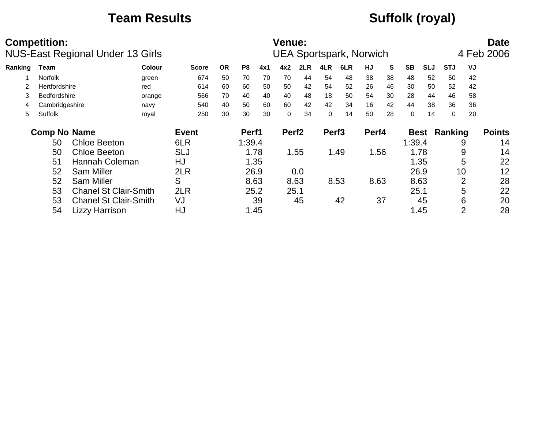## **Team Results Suffolk (royal)**

|         | <b>Competition:</b> | NUS-East Regional Under 13 Girls |               |              |           |                |      | Venue:            |      |                   | <b>UEA Sportspark, Norwich</b> |       |    |             |            |            |                | <b>Date</b><br>4 Feb 2006 |
|---------|---------------------|----------------------------------|---------------|--------------|-----------|----------------|------|-------------------|------|-------------------|--------------------------------|-------|----|-------------|------------|------------|----------------|---------------------------|
| Ranking | <b>Team</b>         |                                  | <b>Colour</b> | <b>Score</b> | <b>OR</b> | P <sub>8</sub> | 4x1  | 4x2               | 2LR  | 4LR               | 6LR                            | HJ    | S  | <b>SB</b>   | <b>SLJ</b> | <b>STJ</b> | VJ             |                           |
|         | Norfolk             |                                  | green         | 674          | 50        | 70             | 70   | 70                | 44   | 54                | 48                             | 38    | 38 | 48          | 52         | 50         | 42             |                           |
|         | Hertfordshire       |                                  | red           | 614          | 60        | 60             | 50   | 50                | 42   | 54                | 52                             | 26    | 46 | 30          | 50         | 52         | 42             |                           |
| 3       | <b>Bedfordshire</b> |                                  | orange        | 566          | 70        | 40             | 40   | 40                | 48   | 18                | 50                             | 54    | 30 | 28          | 44         | 46         | 58             |                           |
| 4       | Cambridgeshire      |                                  | navy          | 540          | 40        | 50             | 60   | 60                | 42   | 42                | 34                             | 16    | 42 | 44          | 38         | 36         | 36             |                           |
| 5       | Suffolk             |                                  | royal         | 250          | 30        | 30             | 30   | $\Omega$          | 34   | $\mathbf 0$       | 14                             | 50    | 28 | $\Omega$    | 14         | $\Omega$   | 20             |                           |
|         | <b>Comp No Name</b> |                                  |               | <b>Event</b> |           | Perf1          |      | Perf <sub>2</sub> |      | Perf <sub>3</sub> |                                | Perf4 |    | <b>Best</b> |            | Ranking    |                | <b>Points</b>             |
|         | 50                  | <b>Chloe Beeton</b>              |               | 6LR          |           | 1:39.4         |      |                   |      |                   |                                |       |    | 1:39.4      |            |            | 9              | 14                        |
|         | 50                  | <b>Chloe Beeton</b>              |               | SLJ          |           |                | 1.78 |                   | 1.55 |                   | 1.49                           | 1.56  |    |             | 1.78       |            | 9              | 14                        |
|         | 51                  | Hannah Coleman                   |               | HJ           |           |                | 1.35 |                   |      |                   |                                |       |    |             | 1.35       |            | 5              | 22                        |
|         | 52                  | <b>Sam Miller</b>                |               | 2LR          |           | 26.9           |      |                   | 0.0  |                   |                                |       |    | 26.9        |            | 10         |                | 12                        |
|         | 52                  | <b>Sam Miller</b>                |               | S            |           |                | 8.63 |                   | 8.63 | 8.53              |                                | 8.63  |    | 8.63        |            |            | 2              | 28                        |
|         | 53                  | <b>Chanel St Clair-Smith</b>     |               | 2LR          |           |                | 25.2 | 25.1              |      |                   |                                |       |    | 25.1        |            |            | 5              | 22                        |
|         | 53                  | <b>Chanel St Clair-Smith</b>     |               | VJ           |           |                | 39   |                   | 45   |                   | 42                             |       | 37 |             | 45         |            | 6              | 20                        |
|         | 54                  | <b>Lizzy Harrison</b>            |               | HJ           |           |                | 1.45 |                   |      |                   |                                |       |    |             | 1.45       |            | $\overline{2}$ | 28                        |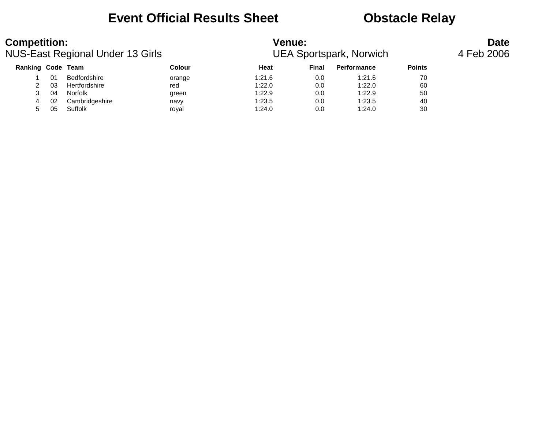### **Event Official Results Sheet Constracts Obstacle Relay**

| <b>Competition:</b> |    | NUS-East Regional Under 13 Girls |               | <b>Venue:</b> |       | <b>UEA Sportspark, Norwich</b> |               | <b>Date</b><br>4 Feb 2006 |
|---------------------|----|----------------------------------|---------------|---------------|-------|--------------------------------|---------------|---------------------------|
| Ranking Code Team   |    |                                  | <b>Colour</b> | Heat          | Final | <b>Performance</b>             | <b>Points</b> |                           |
|                     | 01 | Bedfordshire                     | orange        | 1:21.6        | 0.0   | 1:21.6                         | 70            |                           |
|                     | 03 | Hertfordshire                    | red           | 1:22.0        | 0.0   | 1:22.0                         | 60            |                           |
|                     | 04 | Norfolk                          | green         | 1:22.9        | 0.0   | 1:22.9                         | 50            |                           |
|                     | 02 | Cambridgeshire                   | navy          | 1:23.5        | 0.0   | 1:23.5                         | 40            |                           |
|                     | 05 | Suffolk                          | roval         | 1:24.0        | 0.0   | 1:24.0                         | 30            |                           |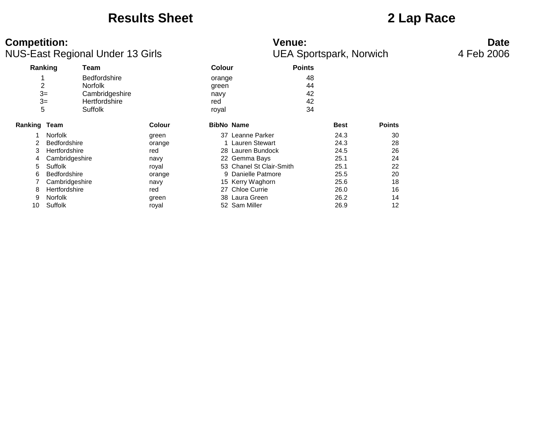### **Results Sheet 2 Lap Race**

### **Competition: Venue: Date** NUS-East Regional Under 13 Girls **Numer and Science CEA Sportspark, Norwich** 4 Feb 2006

| <b>Venue:</b> |                               |  |
|---------------|-------------------------------|--|
|               | <b>UFA Sportspark, Norwig</b> |  |

| Ranking        |                     | Team                |        | Colour            | <b>Points</b>            |             |               |
|----------------|---------------------|---------------------|--------|-------------------|--------------------------|-------------|---------------|
|                |                     | <b>Bedfordshire</b> |        | orange            |                          | 48          |               |
| $\overline{c}$ |                     | <b>Norfolk</b>      |        | green             |                          | 44          |               |
| $3=$           |                     | Cambridgeshire      |        | navy              |                          | 42          |               |
| $3=$           |                     | Hertfordshire       |        | red               |                          | 42          |               |
| 5              |                     | Suffolk             |        | royal             |                          | 34          |               |
| Ranking Team   |                     |                     | Colour | <b>BibNo Name</b> |                          | <b>Best</b> | <b>Points</b> |
|                | <b>Norfolk</b>      |                     | green  |                   | 37 Leanne Parker         | 24.3        | 30            |
|                | <b>Bedfordshire</b> |                     | orange |                   | 1 Lauren Stewart         | 24.3        | 28            |
| 3              | Hertfordshire       |                     | red    |                   | 28 Lauren Bundock        | 24.5        | 26            |
| 4              | Cambridgeshire      |                     | navy   |                   | 22 Gemma Bays            | 25.1        | 24            |
| 5              | <b>Suffolk</b>      |                     | royal  |                   | 53 Chanel St Clair-Smith | 25.1        | 22            |
| 6              | <b>Bedfordshire</b> |                     | orange |                   | 9 Danielle Patmore       | 25.5        | 20            |
|                | Cambridgeshire      |                     | navy   |                   | 15 Kerry Waghorn         | 25.6        | 18            |
| 8              | Hertfordshire       |                     | red    |                   | 27 Chloe Currie          | 26.0        | 16            |
| 9              | Norfolk             |                     | green  |                   | 38 Laura Green           | 26.2        | 14            |
| 10             | Suffolk             |                     | royal  |                   | 52 Sam Miller            | 26.9        | 12            |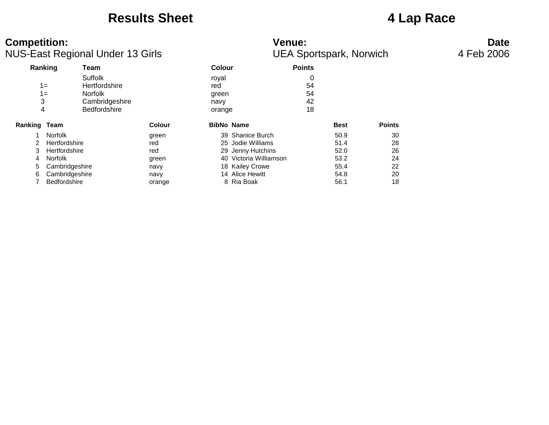### **Results Sheet 4 Lap Race**

# **Competition: Venue: Date**

|              |                | <b>NUS-East Regional Under 13 Girls</b>                                                    |               |                                         |                        | <b>UEA Sportspark, Norwich</b> |             |               | 4 Feb 2006 |
|--------------|----------------|--------------------------------------------------------------------------------------------|---------------|-----------------------------------------|------------------------|--------------------------------|-------------|---------------|------------|
|              | Ranking        | Team                                                                                       |               | <b>Colour</b>                           |                        | <b>Points</b>                  |             |               |            |
| 4            | $1 =$<br>$1 =$ | Suffolk<br><b>Hertfordshire</b><br><b>Norfolk</b><br>Cambridgeshire<br><b>Bedfordshire</b> |               | royal<br>red<br>green<br>navy<br>orange |                        | 0<br>54<br>54<br>42<br>18      |             |               |            |
| Ranking Team |                |                                                                                            | <b>Colour</b> | <b>BibNo Name</b>                       |                        |                                | <b>Best</b> | <b>Points</b> |            |
|              | Norfolk        |                                                                                            | green         |                                         | 39 Shanice Burch       |                                | 50.9        | 30            |            |
| 2            | Hertfordshire  |                                                                                            | red           |                                         | 25 Jodie Williams      |                                | 51.4        | 28            |            |
| 3            | Hertfordshire  |                                                                                            | red           |                                         | 29 Jenny Hutchins      |                                | 52.0        | 26            |            |
| 4            | Norfolk        |                                                                                            | green         |                                         | 40 Victoria Williamson |                                | 53.2        | 24            |            |
| 5            | Cambridgeshire |                                                                                            | navy          |                                         | 18 Kailey Crowe        |                                | 55.4        | 22            |            |
| 6            | Cambridgeshire |                                                                                            | navy          |                                         | 14 Alice Hewitt        |                                | 54.8        | 20            |            |
|              | Bedfordshire   |                                                                                            | orange        |                                         | 8 Ria Boak             |                                | 56.1        | 18            |            |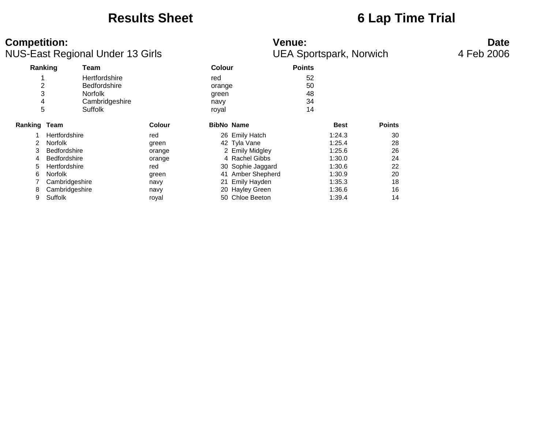### **Results Sheet 6 Lap Time Trial**

| <b>Competition:</b> | <b>NUS-East Regional Under 13 Girls</b>                                                    |               |                                         | <b>Venue:</b>     | <b>UEA Sportspark, Norwich</b> |               | <b>Date</b><br>4 Feb 2006 |
|---------------------|--------------------------------------------------------------------------------------------|---------------|-----------------------------------------|-------------------|--------------------------------|---------------|---------------------------|
| Ranking             | Team                                                                                       |               | <b>Colour</b>                           | <b>Points</b>     |                                |               |                           |
| 2<br>3<br>4<br>5    | Hertfordshire<br><b>Bedfordshire</b><br><b>Norfolk</b><br>Cambridgeshire<br><b>Suffolk</b> |               | red<br>orange<br>green<br>navy<br>royal |                   | 52<br>50<br>48<br>34<br>14     |               |                           |
| Ranking Team        |                                                                                            | <b>Colour</b> | <b>BibNo Name</b>                       |                   | <b>Best</b>                    | <b>Points</b> |                           |
|                     | Hertfordshire                                                                              | red           |                                         | 26 Emily Hatch    | 1:24.3                         | 30            |                           |
|                     | <b>Norfolk</b>                                                                             | green         |                                         | 42 Tyla Vane      | 1:25.4                         | 28            |                           |
| 3                   | <b>Bedfordshire</b>                                                                        | orange        |                                         | 2 Emily Midgley   | 1:25.6                         | 26            |                           |
| 4                   | <b>Bedfordshire</b>                                                                        | orange        |                                         | 4 Rachel Gibbs    | 1:30.0                         | 24            |                           |
| 5                   | Hertfordshire                                                                              | red           |                                         | 30 Sophie Jaggard | 1:30.6                         | 22            |                           |
| 6                   | <b>Norfolk</b>                                                                             | green         |                                         | 41 Amber Shepherd | 1:30.9                         | 20            |                           |
|                     | Cambridgeshire                                                                             | navy          | 21                                      | Emily Hayden      | 1:35.3                         | 18            |                           |
| 8                   | Cambridgeshire                                                                             | navy          |                                         | 20 Hayley Green   | 1:36.6                         | 16            |                           |
| 9                   | Suffolk                                                                                    | royal         |                                         | 50 Chloe Beeton   | 1:39.4                         | 14            |                           |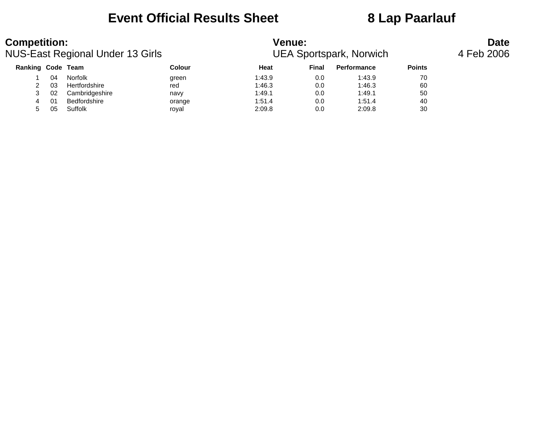### **Event Official Results Sheet 8 Lap Paarlauf**

| <b>Competition:</b> |    | <b>NUS-East Regional Under 13 Girls</b> |               | <b>Venue:</b> |       | <b>UEA Sportspark, Norwich</b> |               | <b>Date</b><br>4 Feb 2006 |
|---------------------|----|-----------------------------------------|---------------|---------------|-------|--------------------------------|---------------|---------------------------|
| Ranking Code Team   |    |                                         | <b>Colour</b> | Heat          | Final | <b>Performance</b>             | <b>Points</b> |                           |
|                     | 04 | Norfolk                                 | green         | 1:43.9        | 0.0   | 1:43.9                         | 70            |                           |
|                     | 03 | Hertfordshire                           | red           | 1:46.3        | 0.0   | 1:46.3                         | 60            |                           |
|                     | 02 | Cambridgeshire                          | navy          | 1:49.1        | 0.0   | 1:49.1                         | 50            |                           |
|                     | 01 | Bedfordshire                            | orange        | 1:51.4        | 0.0   | 1:51.4                         | 40            |                           |
|                     | 05 | Suffolk                                 | roval         | 2:09.8        | 0.0   | 2:09.8                         | 30            |                           |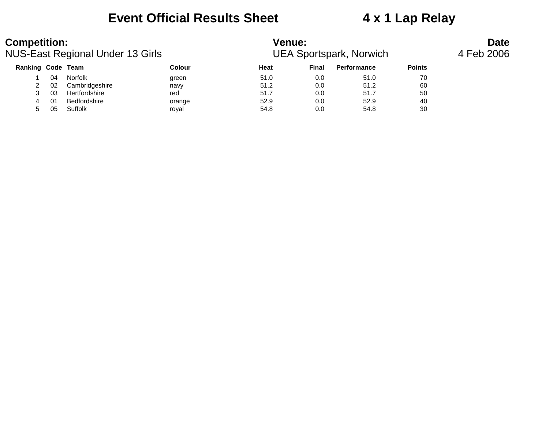### **Event Official Results Sheet 4 x 1 Lap Relay**

| <b>Competition:</b>      |    | NUS-East Regional Under 13 Girls |        | <b>Venue:</b><br><b>UEA Sportspark, Norwich</b> |       | <b>Date</b><br>4 Feb 2006 |               |  |
|--------------------------|----|----------------------------------|--------|-------------------------------------------------|-------|---------------------------|---------------|--|
| <b>Ranking Code Team</b> |    |                                  | Colour | Heat                                            | Final | Performance               | <b>Points</b> |  |
|                          | 04 | Norfolk                          | green  | 51.0                                            | 0.0   | 51.0                      | 70            |  |
|                          | 02 | Cambridgeshire                   | navy   | 51.2                                            | 0.0   | 51.2                      | 60            |  |
|                          | 03 | Hertfordshire                    | red    | 51.7                                            | 0.0   | 51.7                      | 50            |  |
|                          | 01 | Bedfordshire                     | orange | 52.9                                            | 0.0   | 52.9                      | 40            |  |
| 5.                       | 05 | Suffolk                          | roval  | 54.8                                            | 0.0   | 54.8                      | 30            |  |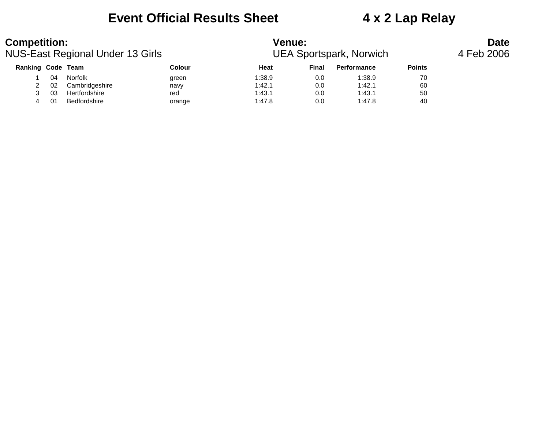### **Event Official Results Sheet 4 x 2 Lap Relay**

| <b>Competition:</b>      |    | NUS-East Regional Under 13 Girls |        | <b>Venue:</b><br><b>UEA Sportspark, Norwich</b> |       | <b>Date</b><br>4 Feb 2006 |               |  |
|--------------------------|----|----------------------------------|--------|-------------------------------------------------|-------|---------------------------|---------------|--|
| <b>Ranking Code Team</b> |    |                                  | Colour | Heat                                            | Final | <b>Performance</b>        | <b>Points</b> |  |
|                          | 04 | Norfolk                          | green  | 1:38.9                                          | 0.0   | 1:38.9                    | 70            |  |
|                          | 02 | Cambridgeshire                   | navy   | 1:42.1                                          | 0.0   | 1:42.1                    | 60            |  |
|                          | 03 | Hertfordshire                    | red    | 1:43.1                                          | 0.0   | 1:43.1                    | 50            |  |
|                          | 01 | Bedfordshire                     | orange | 1:47.8                                          | 0.0   | 1:47.8                    | 40            |  |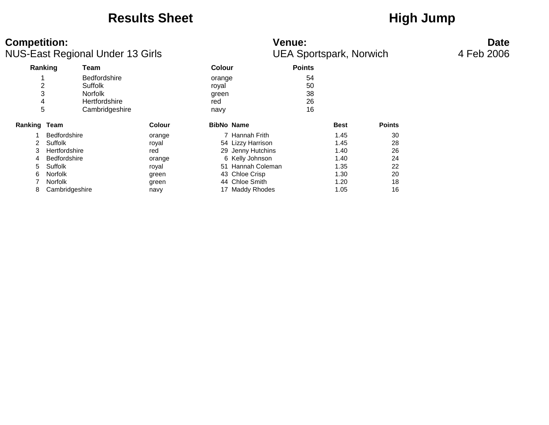### **Results Sheet High Jump**

### **Competition:** Date NUS-East Regional Under 13 Girls **NUS-East Regional Under 13 Girls Community** UEA Sportspark, Norwich 4 Feb 2006 **Ranking Team Colour Points** 1 Bedfordshire **by the second structure of the Second Structure Structure Structure Structure Structure Structure Structure Structure Structure Structure Structure Structure Structure Structure Structure Structure Structur** 2 Suffolk royal 50 3 Norfolk green 38 4 Hertfordshire 16 and the control of the 1945 and the 1946 and the 1946 and the 1946 and 16 and 16 and 16 and 16 and 16 and 16 and 16 and 16 and 16 and 16 and 16 and 16 and 16 and 16 and 16 and 16 and 16 and 16 and 16 and Cambridgeshire navy navy 16 **Ranking Team Colour BibNo Name Best Points** 1 Bedfordshire **1.45** 30 2 Suffolk royal 54 Lizzy Harrison 1.45 28 3 Hertfordshire 76 Teed 29 Jenny Hutchins 7.40 26 4 Bedfordshire **bedfordshire** orange 6 Kelly Johnson **1.40** 24 5 Suffolk royal 51 Hannah Coleman 1.35 22 6 Norfolk green 43 Chloe Crisp 1.30 20 7 Norfolk 6 and 1.20 18 green 1.20 18 and 1.20 18 8 Cambridgeshire **17 Maddy Rhodes** 17 Maddy Rhodes 1.05 16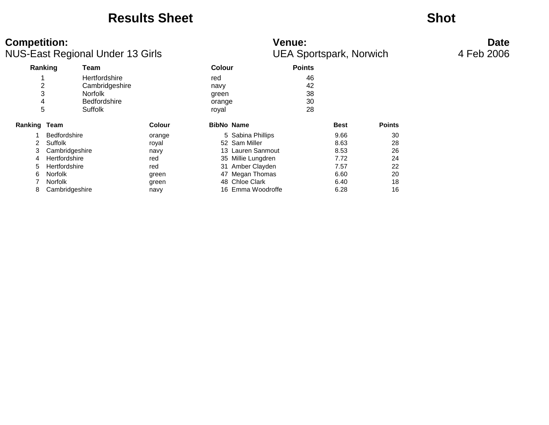### **Results Sheet Shot**

# **Competition: Venue: Date**

| NUS-East Regional Under 13 Girls |                     |                     |               |               |                    | <b>UEA Sportspark, Norwich</b> | 4 Feb 2006  |               |  |
|----------------------------------|---------------------|---------------------|---------------|---------------|--------------------|--------------------------------|-------------|---------------|--|
| Ranking<br>Team                  |                     |                     |               | <b>Colour</b> |                    | <b>Points</b>                  |             |               |  |
|                                  |                     | Hertfordshire       |               | red           |                    | 46                             |             |               |  |
|                                  |                     | Cambridgeshire      |               | navy          |                    | 42                             |             |               |  |
| 3                                |                     | <b>Norfolk</b>      |               | green         |                    | 38                             |             |               |  |
|                                  | 4                   | <b>Bedfordshire</b> |               | orange        |                    | 30                             |             |               |  |
|                                  | 5                   | Suffolk             |               | royal         |                    | 28                             |             |               |  |
| <b>Ranking Team</b>              |                     |                     | <b>Colour</b> |               | <b>BibNo Name</b>  |                                | <b>Best</b> | <b>Points</b> |  |
|                                  | <b>Bedfordshire</b> |                     | orange        |               | 5 Sabina Phillips  |                                | 9.66        | 30            |  |
| 2                                | Suffolk             |                     | royal         |               | 52 Sam Miller      |                                | 8.63        | 28            |  |
| 3                                | Cambridgeshire      |                     | navy          |               | 13 Lauren Sanmout  |                                | 8.53        | 26            |  |
| 4                                | Hertfordshire       |                     | red           |               | 35 Millie Lungdren |                                | 7.72        | 24            |  |
| 5                                | Hertfordshire       |                     | red           |               | 31 Amber Clayden   |                                | 7.57        | 22            |  |
| 6                                | Norfolk             |                     | green         |               | 47 Megan Thomas    |                                | 6.60        | 20            |  |
|                                  | Norfolk             |                     | green         |               | 48 Chloe Clark     |                                | 6.40        | 18            |  |
| 8                                | Cambridgeshire      |                     | navy          |               | 16 Emma Woodroffe  |                                | 6.28        | 16            |  |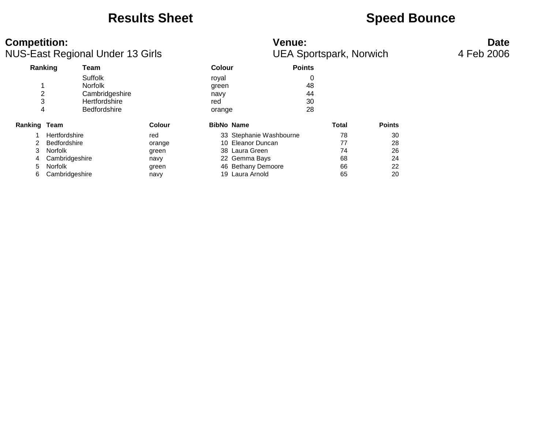### **Results Sheet Speed Bounce**

| <b>Competition:</b><br><b>NUS-East Regional Under 13 Girls</b> |                 |                     |                   | <b>Venue:</b><br><b>UEA Sportspark, Norwich</b> | <b>Date</b><br>4 Feb 2006 |               |  |
|----------------------------------------------------------------|-----------------|---------------------|-------------------|-------------------------------------------------|---------------------------|---------------|--|
|                                                                | Ranking<br>Team |                     | <b>Colour</b>     | <b>Points</b>                                   |                           |               |  |
|                                                                | Suffolk         |                     | royal             |                                                 | 0                         |               |  |
|                                                                |                 | <b>Norfolk</b>      | green             |                                                 | 48                        |               |  |
|                                                                |                 | Cambridgeshire      | navy              |                                                 | 44                        |               |  |
|                                                                |                 | Hertfordshire       | red               |                                                 | 30                        |               |  |
| 4                                                              |                 | <b>Bedfordshire</b> | orange            |                                                 | 28                        |               |  |
| Ranking Team                                                   |                 | <b>Colour</b>       | <b>BibNo Name</b> |                                                 | Total                     | <b>Points</b> |  |
|                                                                | Hertfordshire   | red                 |                   | 33 Stephanie Washbourne                         | 78                        | 30            |  |
|                                                                | Bedfordshire    | orange              |                   | 10 Eleanor Duncan                               | 77                        | 28            |  |
| 3                                                              | Norfolk         | green               |                   | 38 Laura Green                                  | 74                        | 26            |  |
| 4                                                              | Cambridgeshire  | navy                |                   | 22 Gemma Bays                                   | 68                        | 24            |  |
| 5                                                              | Norfolk         | green               |                   | 46 Bethany Demoore                              | 66                        | 22            |  |
| 6                                                              | Cambridgeshire  | navy                |                   | 19 Laura Arnold                                 | 65                        | 20            |  |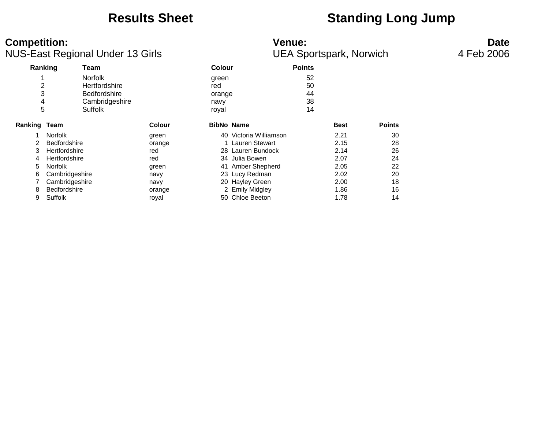### **Results Sheet Standing Long Jump**

### **Competition:** Date NUS-East Regional Under 13 Girls **NUS-East Regional Under 13 Girls Community** UEA Sportspark, Norwich 4 Feb 2006 **Ranking Team Colour Points** 1 Norfolk green 52 2 Hertfordshire red 50<br>3 Bedfordshire red orange 44 3 Bedfordshire orange 44 4 Cambridgeshire 1988 av Suffolk<br>5 Suffolk 1988 av Suffolk 5 Suffolk royal 14 **Ranking Team Colour BibNo Name Best Points** 1 Norfolk green 40 Victoria Williamson 2.21 30 2 Bedfordshire orange 1 Lauren Stewart 2.15 28 3 Hertfordshire red 28 Lauren Bundock 2.14 26 4 Hertfordshire 120 red 134 Julia Bowen 2.07 24 5 Norfolk green 41 Amber Shepherd 2.05 22 6 Cambridgeshire navy 23 Lucy Redman 2.02 20 7 Cambridgeshire **18 Fash Cambridgeshire** navy 18 20 Hayley Green 2.00 18 8 Bedfordshire **1.86** 16 Communication orange 1.86 16 Communication of the orange 1.86 16 Communication of the orange 16 Communication of the orange 16 Communication of the orange 16 Communication of the orange 16 Communic 9 Suffolk 14 Chloe Beeton 1.78 14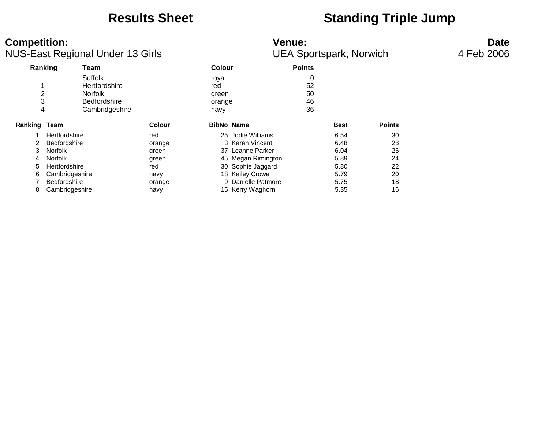### **Results Sheet <b>Standing Triple Jump**

### **Competition:** Date NUS-East Regional Under 13 Girls **NUS-East Regional Under 13 Girls Community** UEA Sportspark, Norwich 4 Feb 2006 **Ranking Team Colour Points** Suffolk **6. Internal contracts** royal contracts of  $\sim$  0. 1 Hertfordshire red red 52<br>2 Norfolk 90 September 1986 2 Norfolk green 50 3 Bedfordshire **by Community** orange 46 4 Cambridgeshire navy navy 36 **Ranking Team Colour BibNo Name Best Points** 1 Hertfordshire 10 Ted 10 and 25 Jodie Williams 1 and 6.54 30 2 Bedfordshire orange 3 Karen Vincent 6.48 28 3 Norfolk green 37 Leanne Parker 6.04 26 4 Norfolk green 45 Megan Rimington 5.89 24 5 Hertfordshire **120 Fertfordshire** 130 Sophie Jaggard 5.80 22 6 Cambridgeshire navy 18 Kailey Crowe 5.79 20 7 Bedfordshire orange 9 Danielle Patmore 5.75 18 8 Cambridgeshire **15 Kerry Waghorn** 15 Kerry Waghorn 5.35 16